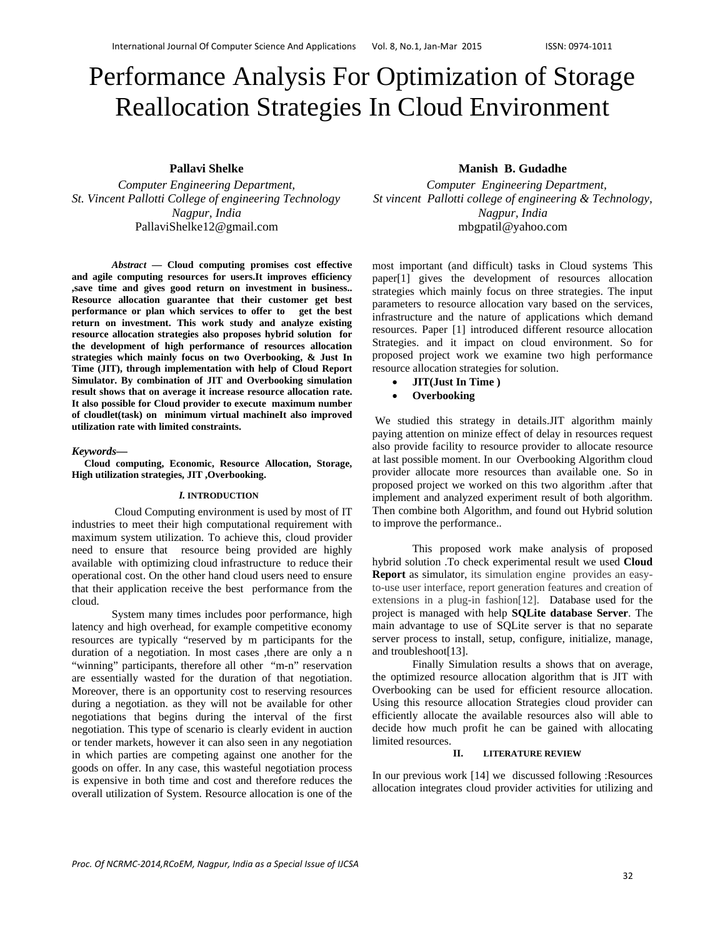# Performance Analysis For Optimization of Storage Reallocation Strategies In Cloud Environment

**Pallavi Shelke** 

*Computer Engineering Department, St. Vincent Pallotti College of engineering Technology Nagpur, India*  PallaviShelke12@gmail.com

*Abstract* **— Cloud computing promises cost effective and agile computing resources for users.It improves efficiency ,save time and gives good return on investment in business.. Resource allocation guarantee that their customer get best performance or plan which services to offer to get the best return on investment. This work study and analyze existing resource allocation strategies also proposes hybrid solution for the development of high performance of resources allocation strategies which mainly focus on two Overbooking, & Just In Time (JIT), through implementation with help of Cloud Report Simulator. By combination of JIT and Overbooking simulation result shows that on average it increase resource allocation rate. It also possible for Cloud provider to execute maximum number of cloudlet(task) on minimum virtual machineIt also improved utilization rate with limited constraints.** 

#### *Keywords***—**

 **Cloud computing, Economic, Resource Allocation, Storage, High utilization strategies, JIT ,Overbooking.**

#### *I.* **INTRODUCTION**

 Cloud Computing environment is used by most of IT industries to meet their high computational requirement with maximum system utilization. To achieve this, cloud provider need to ensure that resource being provided are highly available with optimizing cloud infrastructure to reduce their operational cost. On the other hand cloud users need to ensure that their application receive the best performance from the cloud.

System many times includes poor performance, high latency and high overhead, for example competitive economy resources are typically "reserved by m participants for the duration of a negotiation. In most cases ,there are only a n "winning" participants, therefore all other "m-n" reservation are essentially wasted for the duration of that negotiation. Moreover, there is an opportunity cost to reserving resources during a negotiation. as they will not be available for other negotiations that begins during the interval of the first negotiation. This type of scenario is clearly evident in auction or tender markets, however it can also seen in any negotiation in which parties are competing against one another for the goods on offer. In any case, this wasteful negotiation process is expensive in both time and cost and therefore reduces the overall utilization of System. Resource allocation is one of the

#### **Manish B. Gudadhe**

*Computer Engineering Department, St vincent Pallotti college of engineering & Technology, Nagpur, India*  mbgpatil@yahoo.com

most important (and difficult) tasks in Cloud systems This paper[1] gives the development of resources allocation strategies which mainly focus on three strategies. The input parameters to resource allocation vary based on the services, infrastructure and the nature of applications which demand resources. Paper [1] introduced different resource allocation Strategies. and it impact on cloud environment. So for proposed project work we examine two high performance resource allocation strategies for solution.

- **JIT(Just In Time )**
- **Overbooking**

 We studied this strategy in details.JIT algorithm mainly paying attention on minize effect of delay in resources request also provide facility to resource provider to allocate resource at last possible moment. In our Overbooking Algorithm cloud provider allocate more resources than available one. So in proposed project we worked on this two algorithm .after that implement and analyzed experiment result of both algorithm. Then combine both Algorithm, and found out Hybrid solution to improve the performance..

This proposed work make analysis of proposed hybrid solution .To check experimental result we used **Cloud Report** as simulator, its simulation engine provides an easyto-use user interface, report generation features and creation of extensions in a plug-in fashion[12]. Database used for the project is managed with help **SQLite database Server**. The main advantage to use of SQLite server is that no separate server process to install, setup, configure, initialize, manage, and troubleshoot[13].

Finally Simulation results a shows that on average, the optimized resource allocation algorithm that is JIT with Overbooking can be used for efficient resource allocation. Using this resource allocation Strategies cloud provider can efficiently allocate the available resources also will able to decide how much profit he can be gained with allocating limited resources.

## **II. LITERATURE REVIEW**

In our previous work [14] we discussed following :Resources allocation integrates cloud provider activities for utilizing and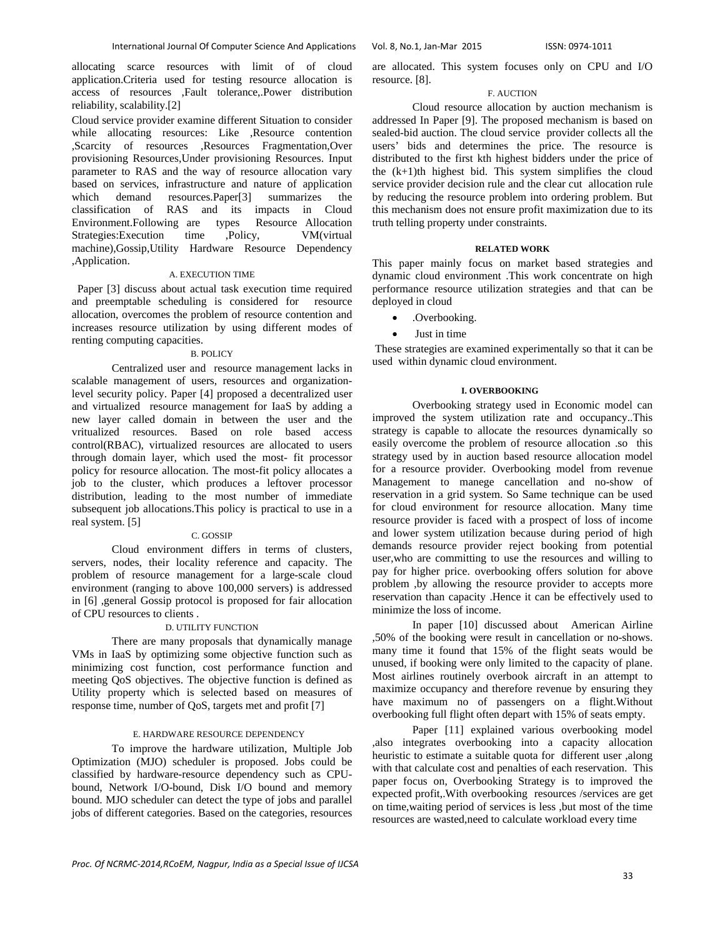allocating scarce resources with limit of of cloud application.Criteria used for testing resource allocation is access of resources ,Fault tolerance,.Power distribution reliability, scalability.[2]

Cloud service provider examine different Situation to consider while allocating resources: Like ,Resource contention ,Scarcity of resources ,Resources Fragmentation,Over provisioning Resources,Under provisioning Resources. Input parameter to RAS and the way of resource allocation vary based on services, infrastructure and nature of application which demand resources.Paper[3] summarizes the classification of RAS and its impacts in Cloud Environment.Following are types Resource Allocation Strategies:Execution time ,Policy, VM(virtual machine),Gossip,Utility Hardware Resource Dependency ,Application.

#### A. EXECUTION TIME

 Paper [3] discuss about actual task execution time required and preemptable scheduling is considered for resource allocation, overcomes the problem of resource contention and increases resource utilization by using different modes of renting computing capacities.

#### B. POLICY

Centralized user and resource management lacks in scalable management of users, resources and organizationlevel security policy. Paper [4] proposed a decentralized user and virtualized resource management for IaaS by adding a new layer called domain in between the user and the vritualized resources. Based on role based access control(RBAC), virtualized resources are allocated to users through domain layer, which used the most- fit processor policy for resource allocation. The most-fit policy allocates a job to the cluster, which produces a leftover processor distribution, leading to the most number of immediate subsequent job allocations.This policy is practical to use in a real system. [5]

#### C. GOSSIP

Cloud environment differs in terms of clusters, servers, nodes, their locality reference and capacity. The problem of resource management for a large-scale cloud environment (ranging to above 100,000 servers) is addressed in [6] ,general Gossip protocol is proposed for fair allocation of CPU resources to clients .

## D. UTILITY FUNCTION

There are many proposals that dynamically manage VMs in IaaS by optimizing some objective function such as minimizing cost function, cost performance function and meeting QoS objectives. The objective function is defined as Utility property which is selected based on measures of response time, number of QoS, targets met and profit [7]

#### E. HARDWARE RESOURCE DEPENDENCY

To improve the hardware utilization, Multiple Job Optimization (MJO) scheduler is proposed. Jobs could be classified by hardware-resource dependency such as CPUbound, Network I/O-bound, Disk I/O bound and memory bound. MJO scheduler can detect the type of jobs and parallel jobs of different categories. Based on the categories, resources are allocated. This system focuses only on CPU and I/O resource. [8].

#### F. AUCTION

Cloud resource allocation by auction mechanism is addressed In Paper [9]. The proposed mechanism is based on sealed-bid auction. The cloud service provider collects all the users' bids and determines the price. The resource is distributed to the first kth highest bidders under the price of the  $(k+1)$ th highest bid. This system simplifies the cloud service provider decision rule and the clear cut allocation rule by reducing the resource problem into ordering problem. But this mechanism does not ensure profit maximization due to its truth telling property under constraints.

#### **RELATED WORK**

This paper mainly focus on market based strategies and dynamic cloud environment .This work concentrate on high performance resource utilization strategies and that can be deployed in cloud

- .Overbooking.
- Just in time

 These strategies are examined experimentally so that it can be used within dynamic cloud environment.

#### **I. OVERBOOKING**

 Overbooking strategy used in Economic model can improved the system utilization rate and occupancy..This strategy is capable to allocate the resources dynamically so easily overcome the problem of resource allocation .so this strategy used by in auction based resource allocation model for a resource provider. Overbooking model from revenue Management to manege cancellation and no-show of reservation in a grid system. So Same technique can be used for cloud environment for resource allocation. Many time resource provider is faced with a prospect of loss of income and lower system utilization because during period of high demands resource provider reject booking from potential user,who are committing to use the resources and willing to pay for higher price. overbooking offers solution for above problem ,by allowing the resource provider to accepts more reservation than capacity .Hence it can be effectively used to minimize the loss of income.

In paper [10] discussed about American Airline ,50% of the booking were result in cancellation or no-shows. many time it found that 15% of the flight seats would be unused, if booking were only limited to the capacity of plane. Most airlines routinely overbook aircraft in an attempt to maximize occupancy and therefore revenue by ensuring they have maximum no of passengers on a flight.Without overbooking full flight often depart with 15% of seats empty.

Paper [11] explained various overbooking model ,also integrates overbooking into a capacity allocation heuristic to estimate a suitable quota for different user ,along with that calculate cost and penalties of each reservation. This paper focus on, Overbooking Strategy is to improved the expected profit,.With overbooking resources /services are get on time,waiting period of services is less ,but most of the time resources are wasted,need to calculate workload every time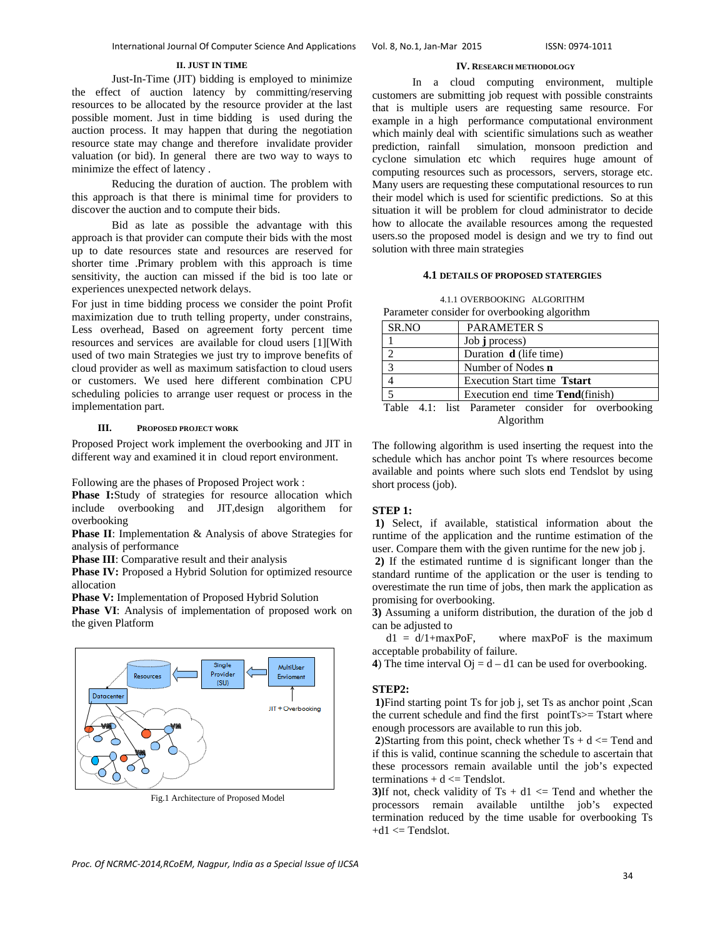#### **II. JUST IN TIME**

Just-In-Time (JIT) bidding is employed to minimize the effect of auction latency by committing/reserving resources to be allocated by the resource provider at the last possible moment. Just in time bidding is used during the auction process. It may happen that during the negotiation resource state may change and therefore invalidate provider valuation (or bid). In general there are two way to ways to minimize the effect of latency .

Reducing the duration of auction. The problem with this approach is that there is minimal time for providers to discover the auction and to compute their bids.

Bid as late as possible the advantage with this approach is that provider can compute their bids with the most up to date resources state and resources are reserved for shorter time .Primary problem with this approach is time sensitivity, the auction can missed if the bid is too late or experiences unexpected network delays.

For just in time bidding process we consider the point Profit maximization due to truth telling property, under constrains, Less overhead, Based on agreement forty percent time resources and services are available for cloud users [1][With used of two main Strategies we just try to improve benefits of cloud provider as well as maximum satisfaction to cloud users or customers. We used here different combination CPU scheduling policies to arrange user request or process in the implementation part.

#### **III. PROPOSED PROJECT WORK**

Proposed Project work implement the overbooking and JIT in different way and examined it in cloud report environment.

Following are the phases of Proposed Project work :

**Phase I:**Study of strategies for resource allocation which include overbooking and JIT,design algorithem for overbooking

**Phase II**: Implementation & Analysis of above Strategies for analysis of performance

**Phase III**: Comparative result and their analysis

**Phase IV:** Proposed a Hybrid Solution for optimized resource allocation

**Phase V:** Implementation of Proposed Hybrid Solution

**Phase VI**: Analysis of implementation of proposed work on the given Platform



Fig.1 Architecture of Proposed Model

## **IV. RESEARCH METHODOLOGY**

In a cloud computing environment, multiple customers are submitting job request with possible constraints that is multiple users are requesting same resource. For example in a high performance computational environment which mainly deal with scientific simulations such as weather prediction, rainfall simulation, monsoon prediction and simulation, monsoon prediction and cyclone simulation etc which requires huge amount of computing resources such as processors, servers, storage etc. Many users are requesting these computational resources to run their model which is used for scientific predictions. So at this situation it will be problem for cloud administrator to decide how to allocate the available resources among the requested users.so the proposed model is design and we try to find out solution with three main strategies

## **4.1 DETAILS OF PROPOSED STATERGIES**

|                                              | 4.1.1 OVERBOOKING ALGORITHM |  |  |
|----------------------------------------------|-----------------------------|--|--|
| Parameter consider for overbooking algorithm |                             |  |  |

| SR.NO                    | <b>PARAMETER S</b>                                 |  |  |  |  |
|--------------------------|----------------------------------------------------|--|--|--|--|
|                          | Job j process)                                     |  |  |  |  |
| $\mathfrak{D}$           | Duration <b>d</b> (life time)                      |  |  |  |  |
| 3                        | Number of Nodes n                                  |  |  |  |  |
| 4                        | <b>Execution Start time Tstart</b>                 |  |  |  |  |
| $\overline{\phantom{0}}$ | Execution end time <b>Tend</b> (finish)            |  |  |  |  |
|                          | Table 4.1: list Parameter consider for overbooking |  |  |  |  |

Algorithm

The following algorithm is used inserting the request into the schedule which has anchor point Ts where resources become available and points where such slots end Tendslot by using short process (job).

#### **STEP 1:**

**1)** Select, if available, statistical information about the runtime of the application and the runtime estimation of the user. Compare them with the given runtime for the new job j.

 **2)** If the estimated runtime d is significant longer than the standard runtime of the application or the user is tending to overestimate the run time of jobs, then mark the application as promising for overbooking.

**3)** Assuming a uniform distribution, the duration of the job d can be adjusted to

 $d1 = d/1 + maxPoF$ , where maxPoF is the maximum acceptable probability of failure.

**4**) The time interval  $\overrightarrow{O}$  = d – d1 can be used for overbooking.

#### **STEP2:**

 **1)**Find starting point Ts for job j, set Ts as anchor point ,Scan the current schedule and find the first pointTs>= Tstart where enough processors are available to run this job.

**2**)Starting from this point, check whether  $Ts + d \leq T$ end and if this is valid, continue scanning the schedule to ascertain that these processors remain available until the job's expected  $terminations + d \leq Tendslot.$ 

**3**)If not, check validity of  $Ts + d1 \leq T$ end and whether the processors remain available untilthe job's expected termination reduced by the time usable for overbooking Ts  $+d1 \leq$  Tendslot.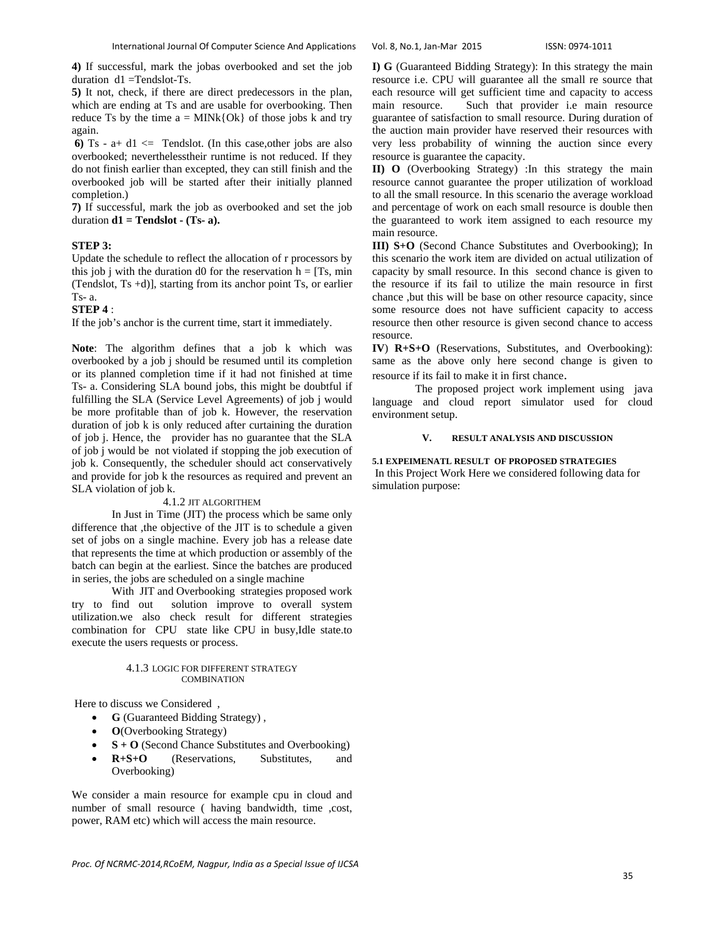**4)** If successful, mark the jobas overbooked and set the job duration d1 =Tendslot-Ts.

**5)** It not, check, if there are direct predecessors in the plan, which are ending at Ts and are usable for overbooking. Then reduce Ts by the time  $a = MINk{Ok}$  of those jobs k and try again.

**6)**  $\text{Ts} - \text{a} + \text{d}1 \leq \text{Tendslot.}$  (In this case, other jobs are also overbooked; neverthelesstheir runtime is not reduced. If they do not finish earlier than excepted, they can still finish and the overbooked job will be started after their initially planned completion.)

**7)** If successful, mark the job as overbooked and set the job duration  $d1 = Tendslot - (Ts-a)$ .

#### **STEP 3:**

Update the schedule to reflect the allocation of r processors by this job j with the duration d0 for the reservation  $h = [Ts, min]$ (Tendslot, Ts +d)], starting from its anchor point Ts, or earlier  $Ts-a$ .

## **STEP 4** :

If the job's anchor is the current time, start it immediately.

**Note**: The algorithm defines that a job k which was overbooked by a job j should be resumed until its completion or its planned completion time if it had not finished at time Ts- a. Considering SLA bound jobs, this might be doubtful if fulfilling the SLA (Service Level Agreements) of job j would be more profitable than of job k. However, the reservation duration of job k is only reduced after curtaining the duration of job j. Hence, the provider has no guarantee that the SLA of job j would be not violated if stopping the job execution of job k. Consequently, the scheduler should act conservatively and provide for job k the resources as required and prevent an SLA violation of job k.

#### 4.1.2 JIT ALGORITHEM

In Just in Time (JIT) the process which be same only difference that ,the objective of the JIT is to schedule a given set of jobs on a single machine. Every job has a release date that represents the time at which production or assembly of the batch can begin at the earliest. Since the batches are produced in series, the jobs are scheduled on a single machine

With JIT and Overbooking strategies proposed work<br>try to find out solution improve to overall system solution improve to overall system utilization.we also check result for different strategies combination for CPU state like CPU in busy,Idle state.to execute the users requests or process.

#### 4.1.3 LOGIC FOR DIFFERENT STRATEGY **COMBINATION**

Here to discuss we Considered ,

- **G** (Guaranteed Bidding Strategy) ,
- **O**(Overbooking Strategy)
- $S + O$  (Second Chance Substitutes and Overbooking)
- **R+S+O** (Reservations, Substitutes, and Overbooking)

We consider a main resource for example cpu in cloud and number of small resource ( having bandwidth, time ,cost, power, RAM etc) which will access the main resource.

**I) G** (Guaranteed Bidding Strategy): In this strategy the main resource i.e. CPU will guarantee all the small re source that each resource will get sufficient time and capacity to access main resource. Such that provider i.e main resource guarantee of satisfaction to small resource. During duration of the auction main provider have reserved their resources with very less probability of winning the auction since every resource is guarantee the capacity.

**II) O** (Overbooking Strategy) :In this strategy the main resource cannot guarantee the proper utilization of workload to all the small resource. In this scenario the average workload and percentage of work on each small resource is double then the guaranteed to work item assigned to each resource my main resource.

**III) S+O** (Second Chance Substitutes and Overbooking); In this scenario the work item are divided on actual utilization of capacity by small resource. In this second chance is given to the resource if its fail to utilize the main resource in first chance ,but this will be base on other resource capacity, since some resource does not have sufficient capacity to access resource then other resource is given second chance to access resource.

**IV**) **R+S+O** (Reservations, Substitutes, and Overbooking): same as the above only here second change is given to

resource if its fail to make it in first chance.<br>The proposed project work implement using java language and cloud report simulator used for cloud environment setup.

## **V. RESULT ANALYSIS AND DISCUSSION**

**5.1 EXPEIMENATL RESULT OF PROPOSED STRATEGIES**  In this Project Work Here we considered following data for simulation purpose: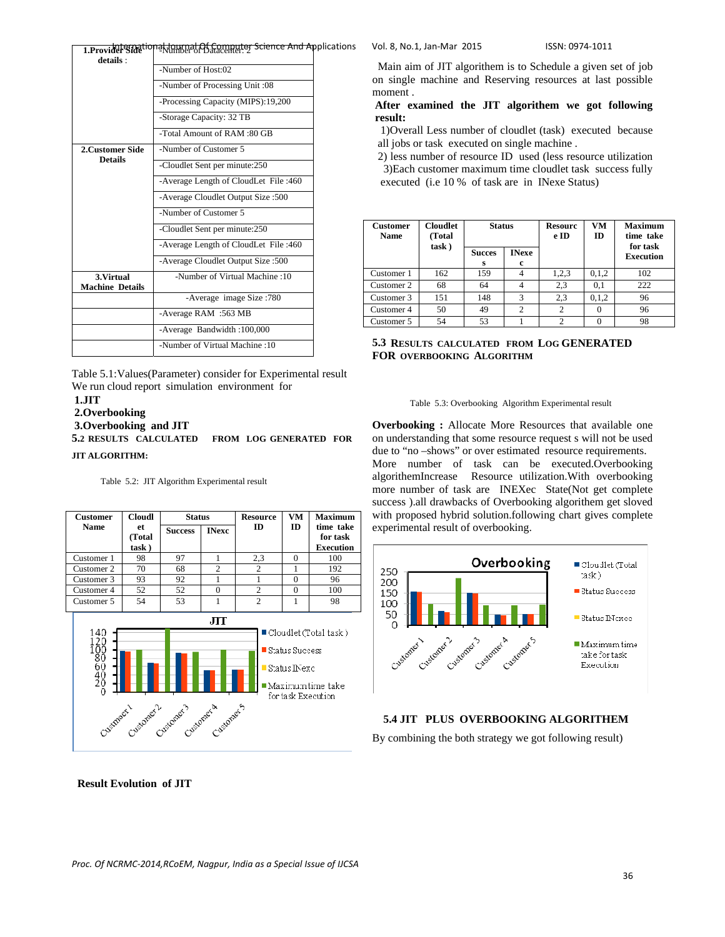| details:                             |                                       |  |  |  |  |
|--------------------------------------|---------------------------------------|--|--|--|--|
|                                      | -Number of Host:02                    |  |  |  |  |
|                                      | -Number of Processing Unit :08        |  |  |  |  |
|                                      | -Processing Capacity (MIPS):19,200    |  |  |  |  |
|                                      | -Storage Capacity: 32 TB              |  |  |  |  |
|                                      | -Total Amount of RAM :80 GB           |  |  |  |  |
| 2. Customer Side                     | -Number of Customer 5                 |  |  |  |  |
| <b>Details</b>                       | -Cloudlet Sent per minute:250         |  |  |  |  |
|                                      | -Average Length of CloudLet File:460  |  |  |  |  |
|                                      | -Average Cloudlet Output Size: 500    |  |  |  |  |
|                                      | -Number of Customer 5                 |  |  |  |  |
|                                      | -Cloudlet Sent per minute:250         |  |  |  |  |
|                                      | -Average Length of CloudLet File :460 |  |  |  |  |
|                                      | -Average Cloudlet Output Size: 500    |  |  |  |  |
| 3. Virtual<br><b>Machine Details</b> | -Number of Virtual Machine: 10        |  |  |  |  |
|                                      | -Average image Size: 780              |  |  |  |  |
|                                      | -Average RAM :563 MB                  |  |  |  |  |
|                                      | -Average Bandwidth: 100,000           |  |  |  |  |
|                                      | -Number of Virtual Machine: 10        |  |  |  |  |
|                                      |                                       |  |  |  |  |

Table 5.1:Values(Parameter) consider for Experimental result We run cloud report simulation environment for

## **1.JIT**

 **2.Overbooking** 

 **3.Overbooking and JIT** 

**5.2 RESULTS CALCULATED FROM LOG GENERATED FOR JIT ALGORITHM:** 

Table 5.2: JIT Algorithm Experimental result

| <b>Customer</b> | <b>Cloudl</b>         | <b>Status</b>  |                | <b>Resource</b> | <b>VM</b> | <b>Maximum</b>                            |
|-----------------|-----------------------|----------------|----------------|-----------------|-----------|-------------------------------------------|
| <b>Name</b>     | et<br>(Total<br>task) | <b>Success</b> | <b>INexc</b>   | ID              | ID        | time take<br>for task<br><b>Execution</b> |
| Customer 1      | 98                    | 97             |                | 2,3             | $\Omega$  | 100                                       |
| Customer 2      | 70                    | 68             | $\overline{c}$ | $\mathfrak{D}$  |           | 192                                       |
| Customer 3      | 93                    | 92             |                |                 | $\Omega$  | 96                                        |
| Customer 4      | 52                    | 52             |                | $\mathfrak{D}$  | ∩         | 100                                       |
| Customer 5      | 54                    | 53             |                | 2               |           | 98                                        |
|                 |                       |                | лт             |                 |           |                                           |
| 140<br>1 ว ก    |                       |                |                |                 |           | $\blacksquare$ Cloudlet (Total task)      |



1**.ProviderSide<sup>tion</sup>akionrealAf.Computer Science And Ap**plications Vol. 8, No.1, Jan-Mar 2015 ISSN: 0974-1011

 Main aim of JIT algorithem is to Schedule a given set of job on single machine and Reserving resources at last possible moment .

 **After examined the JIT algorithem we got following result:** 

 1)Overall Less number of cloudlet (task) executed because all jobs or task executed on single machine .

 2) less number of resource ID used (less resource utilization 3)Each customer maximum time cloudlet task success fully executed (i.e 10 % of task are in INexe Status)

| <b>Customer</b><br><b>Name</b> | <b>Cloudlet</b><br>(Total | <b>Status</b><br><b>INexe</b><br><b>Succes</b><br>c<br>s |               | <b>Resourc</b><br>e ID | <b>VM</b><br>ID | <b>Maximum</b><br>time take<br>for task |
|--------------------------------|---------------------------|----------------------------------------------------------|---------------|------------------------|-----------------|-----------------------------------------|
|                                | task)                     |                                                          |               |                        |                 | <b>Execution</b>                        |
| Customer 1                     | 162                       | 159                                                      |               | 1,2,3                  | 0,1,2           | 102                                     |
| Customer 2                     | 68                        | 64                                                       |               | 2,3                    | 0.1             | 222                                     |
| Customer 3                     | 151                       | 148                                                      | 3             | 2.3                    | 0,1,2           | 96                                      |
| Customer 4                     | 50                        | 49                                                       | $\mathcal{D}$ |                        |                 | 96                                      |
| Customer 5                     | 54                        | 53                                                       |               | 2                      |                 | 98                                      |

## **5.3 RESULTS CALCULATED FROM LOG GENERATED FOR OVERBOOKING ALGORITHM**



**Overbooking :** Allocate More Resources that available one on understanding that some resource request s will not be used due to "no –shows" or over estimated resource requirements. More number of task can be executed.Overbooking algorithemIncrease Resource utilization.With overbooking more number of task are INEXec State(Not get complete success ).all drawbacks of Overbooking algorithem get sloved with proposed hybrid solution.following chart gives complete



## **5.4 JIT PLUS OVERBOOKING ALGORITHEM**

By combining the both strategy we got following result)

 **Result Evolution of JIT**